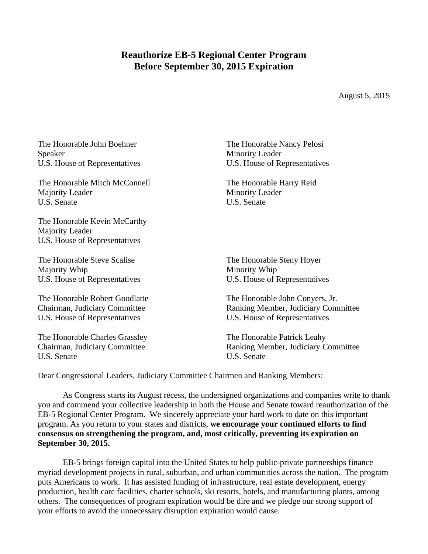## **Reauthorize EB-5 Regional Center Program Before September 30, 2015 Expiration**

August 5, 2015

| The Honorable John Boehner                                                       | The Honorable Nancy Pelosi          |
|----------------------------------------------------------------------------------|-------------------------------------|
| Speaker                                                                          | <b>Minority Leader</b>              |
| U.S. House of Representatives                                                    | U.S. House of Representatives       |
| The Honorable Mitch McConnell                                                    | The Honorable Harry Reid            |
| Majority Leader                                                                  | <b>Minority Leader</b>              |
| U.S. Senate                                                                      | U.S. Senate                         |
| The Honorable Kevin McCarthy<br>Majority Leader<br>U.S. House of Representatives |                                     |
| The Honorable Steve Scalise                                                      | The Honorable Steny Hoyer           |
| Majority Whip                                                                    | Minority Whip                       |
| U.S. House of Representatives                                                    | U.S. House of Representatives       |
| The Honorable Robert Goodlatte                                                   | The Honorable John Conyers, Jr.     |
| Chairman, Judiciary Committee                                                    | Ranking Member, Judiciary Committee |
| U.S. House of Representatives                                                    | U.S. House of Representatives       |
| The Honorable Charles Grassley                                                   | The Honorable Patrick Leahy         |
| Chairman, Judiciary Committee                                                    | Ranking Member, Judiciary Committee |
| U.S. Senate                                                                      | U.S. Senate                         |

Dear Congressional Leaders, Judiciary Committee Chairmen and Ranking Members:

As Congress starts its August recess, the undersigned organizations and companies write to thank you and commend your collective leadership in both the House and Senate toward reauthorization of the EB-5 Regional Center Program. We sincerely appreciate your hard work to date on this important program. As you return to your states and districts, **we encourage your continued efforts to find consensus on strengthening the program, and, most critically, preventing its expiration on September 30, 2015.**

EB-5 brings foreign capital into the United States to help public-private partnerships finance myriad development projects in rural, suburban, and urban communities across the nation. The program puts Americans to work. It has assisted funding of infrastructure, real estate development, energy production, health care facilities, charter schools, ski resorts, hotels, and manufacturing plants, among others. The consequences of program expiration would be dire and we pledge our strong support of your efforts to avoid the unnecessary disruption expiration would cause.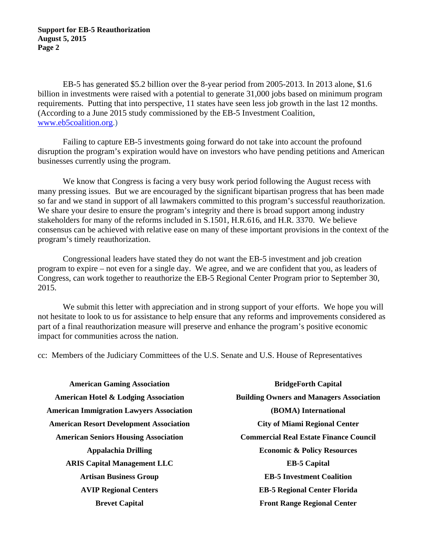EB-5 has generated \$5.2 billion over the 8-year period from 2005-2013. In 2013 alone, \$1.6 billion in investments were raised with a potential to generate 31,000 jobs based on minimum program requirements. Putting that into perspective, 11 states have seen less job growth in the last 12 months. (According to a June 2015 study commissioned by the EB-5 Investment Coalition, www.eb5coalition.org.)

Failing to capture EB-5 investments going forward do not take into account the profound disruption the program's expiration would have on investors who have pending petitions and American businesses currently using the program.

We know that Congress is facing a very busy work period following the August recess with many pressing issues. But we are encouraged by the significant bipartisan progress that has been made so far and we stand in support of all lawmakers committed to this program's successful reauthorization. We share your desire to ensure the program's integrity and there is broad support among industry stakeholders for many of the reforms included in S.1501, H.R.616, and H.R. 3370. We believe consensus can be achieved with relative ease on many of these important provisions in the context of the program's timely reauthorization.

Congressional leaders have stated they do not want the EB-5 investment and job creation program to expire – not even for a single day. We agree, and we are confident that you, as leaders of Congress, can work together to reauthorize the EB-5 Regional Center Program prior to September 30, 2015.

We submit this letter with appreciation and in strong support of your efforts. We hope you will not hesitate to look to us for assistance to help ensure that any reforms and improvements considered as part of a final reauthorization measure will preserve and enhance the program's positive economic impact for communities across the nation.

cc: Members of the Judiciary Committees of the U.S. Senate and U.S. House of Representatives

**American Gaming Association American Hotel & Lodging Association American Immigration Lawyers Association American Resort Development Association American Seniors Housing Association Appalachia Drilling ARIS Capital Management LLC Artisan Business Group AVIP Regional Centers Brevet Capital** 

**BridgeForth Capital Building Owners and Managers Association (BOMA) International City of Miami Regional Center Commercial Real Estate Finance Council Economic & Policy Resources EB-5 Capital EB-5 Investment Coalition EB-5 Regional Center Florida Front Range Regional Center**